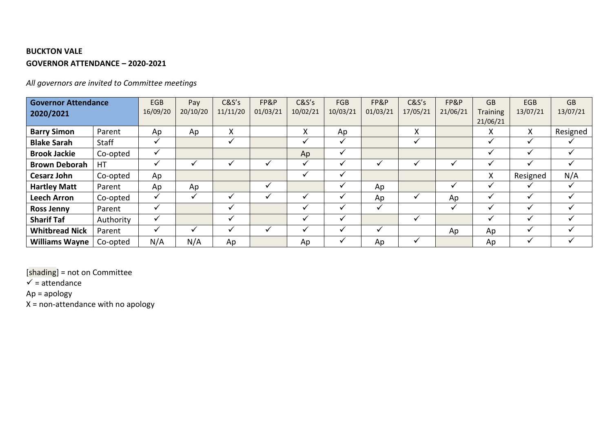## **BUCKTON VALE GOVERNOR ATTENDANCE – 2020-2021**

*All governors are invited to Committee meetings*

| <b>Governor Attendance</b><br>2020/2021 |           | EGB<br>16/09/20 | Pay<br>20/10/20 | C&S's<br>11/11/20 | FP&P<br>01/03/21 | C&S's<br>10/02/21        | <b>FGB</b><br>10/03/21 | FP&P<br>01/03/21 | C&S's<br>17/05/21 | FP&P<br>21/06/21 | <b>GB</b><br><b>Training</b><br>21/06/21 | <b>EGB</b><br>13/07/21 | <b>GB</b><br>13/07/21 |
|-----------------------------------------|-----------|-----------------|-----------------|-------------------|------------------|--------------------------|------------------------|------------------|-------------------|------------------|------------------------------------------|------------------------|-----------------------|
| <b>Barry Simon</b>                      | Parent    | Ap              | Ap              | Χ                 |                  | X                        | Ap                     |                  | Χ                 |                  | v                                        | X                      | Resigned              |
| <b>Blake Sarah</b>                      | Staff     | ✓               |                 |                   |                  | ✔                        | $\checkmark$           |                  | ✔                 |                  | ◡                                        | $\checkmark$           |                       |
| <b>Brook Jackie</b>                     | Co-opted  | ✔               |                 |                   |                  | Ap                       | $\checkmark$           |                  |                   |                  |                                          |                        |                       |
| <b>Brown Deborah</b>                    | <b>HT</b> |                 |                 |                   |                  |                          |                        | $\checkmark$     |                   | ✔                |                                          |                        |                       |
| <b>Cesarz John</b>                      | Co-opted  | Ap              |                 |                   |                  |                          |                        |                  |                   |                  | x                                        | Resigned               | N/A                   |
| <b>Hartley Matt</b>                     | Parent    | Ap              | Ap              |                   |                  |                          |                        | Ap               |                   | v                |                                          |                        |                       |
| <b>Leech Arron</b>                      | Co-opted  |                 |                 |                   |                  |                          |                        | Ap               |                   | Ap               |                                          |                        |                       |
| <b>Ross Jenny</b>                       | Parent    |                 |                 |                   |                  |                          |                        | ✔                |                   | ✓                |                                          |                        |                       |
| <b>Sharif Taf</b>                       | Authority | ✓               |                 |                   |                  | $\overline{\phantom{a}}$ | $\checkmark$           |                  |                   |                  |                                          |                        |                       |
| <b>Whitbread Nick</b>                   | Parent    |                 |                 |                   |                  |                          |                        | $\checkmark$     |                   | Ap               | Ap                                       |                        |                       |
| <b>Williams Wayne</b>                   | Co-opted  | N/A             | N/A             | Ap                |                  | Ap                       |                        | Ap               |                   |                  | Ap                                       |                        |                       |

[shading] = not on Committee

 $\checkmark$  = attendance

Ap = apology

X = non-attendance with no apology